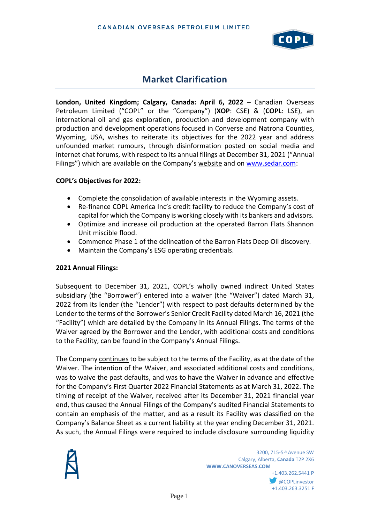

# **Market Clarification**

**London, United Kingdom; Calgary, Canada: April 6, 2022** – Canadian Overseas Petroleum Limited ("COPL" or the "Company") (**XOP**: CSE) & (**COPL**: LSE), an international oil and gas exploration, production and development company with production and development operations focused in Converse and Natrona Counties, Wyoming, USA, wishes to reiterate its objectives for the 2022 year and address unfounded market rumours, through disinformation posted on social media and internet chat forums, with respect to its annual filings at December 31, 2021 ("Annual Filings") which are available on the Company's website and on [www.sedar.com:](http://www.sedar.com/)

## **COPL's Objectives for 2022:**

- Complete the consolidation of available interests in the Wyoming assets.
- Re-finance COPL America Inc's credit facility to reduce the Company's cost of capital for which the Company is working closely with its bankers and advisors.
- Optimize and increase oil production at the operated Barron Flats Shannon Unit miscible flood.
- Commence Phase 1 of the delineation of the Barron Flats Deep Oil discovery.
- Maintain the Company's ESG operating credentials.

## **2021 Annual Filings:**

Subsequent to December 31, 2021, COPL's wholly owned indirect United States subsidiary (the "Borrower") entered into a waiver (the "Waiver") dated March 31, 2022 from its lender (the "Lender") with respect to past defaults determined by the Lender to the terms of the Borrower's Senior Credit Facility dated March 16, 2021 (the "Facility") which are detailed by the Company in its Annual Filings. The terms of the Waiver agreed by the Borrower and the Lender, with additional costs and conditions to the Facility, can be found in the Company's Annual Filings.

The Company continues to be subject to the terms of the Facility, as at the date of the Waiver. The intention of the Waiver, and associated additional costs and conditions, was to waive the past defaults, and was to have the Waiver in advance and effective for the Company's First Quarter 2022 Financial Statements as at March 31, 2022. The timing of receipt of the Waiver, received after its December 31, 2021 financial year end, thus caused the Annual Filings of the Company's audited Financial Statements to contain an emphasis of the matter, and as a result its Facility was classified on the Company's Balance Sheet as a current liability at the year ending December 31, 2021. As such, the Annual Filings were required to include disclosure surrounding liquidity

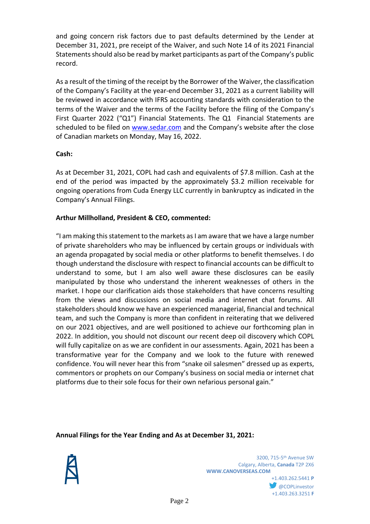and going concern risk factors due to past defaults determined by the Lender at December 31, 2021, pre receipt of the Waiver, and such Note 14 of its 2021 Financial Statements should also be read by market participants as part of the Company's public record.

As a result of the timing of the receipt by the Borrower of the Waiver, the classification of the Company's Facility at the year-end December 31, 2021 as a current liability will be reviewed in accordance with IFRS accounting standards with consideration to the terms of the Waiver and the terms of the Facility before the filing of the Company's First Quarter 2022 ("Q1") Financial Statements. The Q1 Financial Statements are scheduled to be filed on [www.sedar.com](http://www.sedar.com/) and the Company's website after the close of Canadian markets on Monday, May 16, 2022.

# **Cash:**

As at December 31, 2021, COPL had cash and equivalents of \$7.8 million. Cash at the end of the period was impacted by the approximately \$3.2 million receivable for ongoing operations from Cuda Energy LLC currently in bankruptcy as indicated in the Company's Annual Filings.

# **Arthur Millholland, President & CEO, commented:**

"I am making this statement to the markets as I am aware that we have a large number of private shareholders who may be influenced by certain groups or individuals with an agenda propagated by social media or other platforms to benefit themselves. I do though understand the disclosure with respect to financial accounts can be difficult to understand to some, but I am also well aware these disclosures can be easily manipulated by those who understand the inherent weaknesses of others in the market. I hope our clarification aids those stakeholders that have concerns resulting from the views and discussions on social media and internet chat forums. All stakeholders should know we have an experienced managerial, financial and technical team, and such the Company is more than confident in reiterating that we delivered on our 2021 objectives, and are well positioned to achieve our forthcoming plan in 2022. In addition, you should not discount our recent deep oil discovery which COPL will fully capitalize on as we are confident in our assessments. Again, 2021 has been a transformative year for the Company and we look to the future with renewed confidence. You will never hear this from "snake oil salesmen" dressed up as experts, commentors or prophets on our Company's business on social media or internet chat platforms due to their sole focus for their own nefarious personal gain."

## **Annual Filings for the Year Ending and As at December 31, 2021:**



+1.403.263.3251 **F**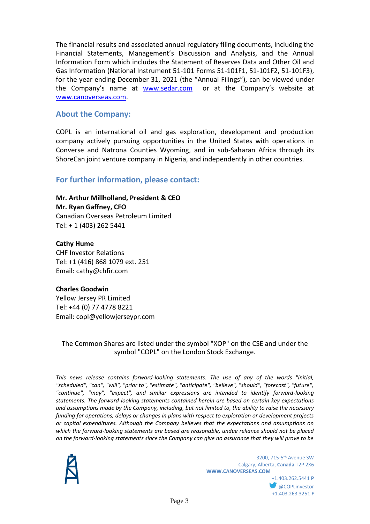The financial results and associated annual regulatory filing documents, including the Financial Statements, Management's Discussion and Analysis, and the Annual Information Form which includes the Statement of Reserves Data and Other Oil and Gas Information (National Instrument 51-101 Forms 51-101F1, 51-101F2, 51-101F3), for the year ending December 31, 2021 (the "Annual Filings"), can be viewed under the Company's name at [www.sedar.com](http://www.sedar.com/) or at the Company's website at [www.canoverseas.com.](http://www.canoverseas.com/)

# **About the Company:**

COPL is an international oil and gas exploration, development and production company actively pursuing opportunities in the United States with operations in Converse and Natrona Counties Wyoming, and in sub-Saharan Africa through its ShoreCan joint venture company in Nigeria, and independently in other countries.

# **For further information, please contact:**

**Mr. Arthur Millholland, President & CEO Mr. Ryan Gaffney, CFO**

Canadian Overseas Petroleum Limited Tel: + 1 (403) 262 5441

## **Cathy Hume**

CHF Investor Relations Tel: +1 (416) 868 1079 ext. 251 Email: cathy@chfir.com

## **Charles Goodwin**

Yellow Jersey PR Limited Tel: +44 (0) 77 4778 8221 Email: copl@yellowjerseypr.com

The Common Shares are listed under the symbol "XOP" on the CSE and under the symbol "COPL" on the London Stock Exchange.

*This news release contains forward-looking statements. The use of any of the words "initial, "scheduled", "can", "will", "prior to", "estimate", "anticipate", "believe", "should", "forecast", "future", "continue", "may", "expect", and similar expressions are intended to identify forward-looking statements. The forward-looking statements contained herein are based on certain key expectations and assumptions made by the Company, including, but not limited to, the ability to raise the necessary funding for operations, delays or changes in plans with respect to exploration or development projects or capital expenditures. Although the Company believes that the expectations and assumptions on which the forward-looking statements are based are reasonable, undue reliance should not be placed on the forward-looking statements since the Company can give no assurance that they will prove to be* 



+1.403.262.5441 **P @COPLinvestor** +1.403.263.3251 **F**